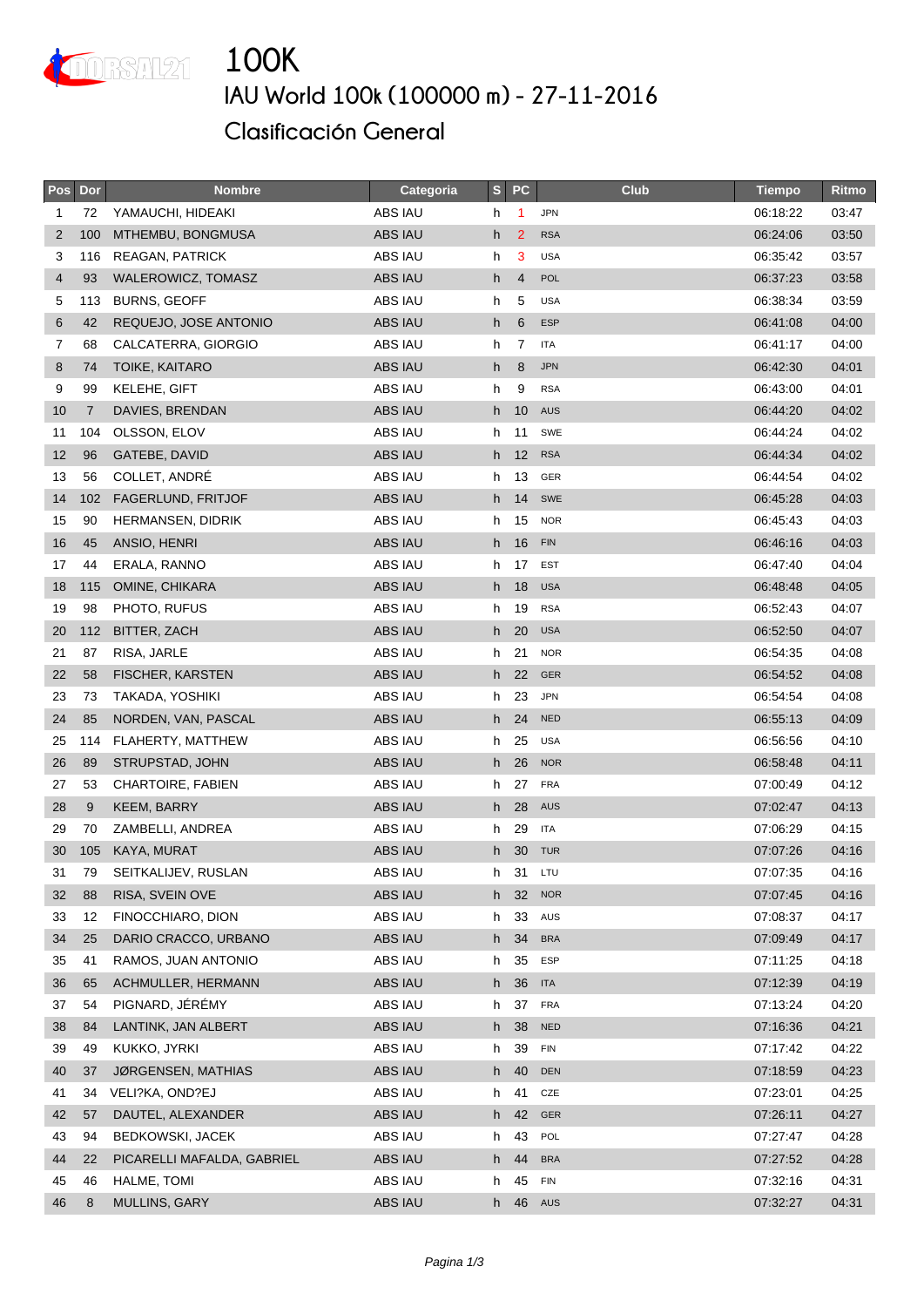

## **IAU World 100k (100000 m) - 27-11-2016 Clasificación General**

| Pos | Dor            | <b>Nombre</b>              | Categoria      | S  | PC              | <b>Club</b> | <b>Tiempo</b> | Ritmo |
|-----|----------------|----------------------------|----------------|----|-----------------|-------------|---------------|-------|
| 1   | 72             | YAMAUCHI, HIDEAKI          | ABS IAU        | h  | $\overline{1}$  | <b>JPN</b>  | 06:18:22      | 03:47 |
| 2   | 100            | MTHEMBU, BONGMUSA          | <b>ABS IAU</b> | h  | $\overline{2}$  | <b>RSA</b>  | 06:24:06      | 03:50 |
| 3   | 116            | <b>REAGAN, PATRICK</b>     | ABS IAU        | h  | 3               | <b>USA</b>  | 06:35:42      | 03:57 |
| 4   | 93             | WALEROWICZ, TOMASZ         | <b>ABS IAU</b> | h  | $\overline{4}$  | <b>POL</b>  | 06:37:23      | 03:58 |
| 5   | 113            | <b>BURNS, GEOFF</b>        | ABS IAU        | h  | 5               | <b>USA</b>  | 06:38:34      | 03:59 |
| 6   | 42             | REQUEJO, JOSE ANTONIO      | <b>ABS IAU</b> | h  | $6\phantom{1}6$ | <b>ESP</b>  | 06:41:08      | 04:00 |
| 7   | 68             | CALCATERRA, GIORGIO        | ABS IAU        | h  | 7               | <b>ITA</b>  | 06:41:17      | 04:00 |
| 8   | 74             | <b>TOIKE, KAITARO</b>      | ABS IAU        | h  | 8               | <b>JPN</b>  | 06:42:30      | 04:01 |
| 9   | 99             | KELEHE, GIFT               | ABS IAU        | h  | 9               | <b>RSA</b>  | 06:43:00      | 04:01 |
| 10  | $\overline{7}$ | DAVIES, BRENDAN            | <b>ABS IAU</b> | h  | 10              | <b>AUS</b>  | 06:44:20      | 04:02 |
| 11  | 104            | OLSSON, ELOV               | ABS IAU        | h  | 11              | SWE         | 06:44:24      | 04:02 |
| 12  | 96             | GATEBE, DAVID              | <b>ABS IAU</b> | h. | 12              | <b>RSA</b>  | 06:44:34      | 04:02 |
| 13  | 56             | COLLET, ANDRÉ              | ABS IAU        | h  | 13              | GER         | 06:44:54      | 04:02 |
| 14  | 102            | FAGERLUND, FRITJOF         | <b>ABS IAU</b> | h  | 14              | SWE         | 06:45:28      | 04:03 |
| 15  | 90             | <b>HERMANSEN, DIDRIK</b>   | ABS IAU        | h  | 15              | <b>NOR</b>  | 06:45:43      | 04:03 |
| 16  | 45             | ANSIO, HENRI               | <b>ABS IAU</b> | h  | 16              | <b>FIN</b>  | 06:46:16      | 04:03 |
| 17  | 44             | ERALA, RANNO               | ABS IAU        | h  | 17              | <b>EST</b>  | 06:47:40      | 04:04 |
| 18  | 115            | OMINE, CHIKARA             | <b>ABS IAU</b> | h  | 18              | <b>USA</b>  | 06:48:48      | 04:05 |
| 19  | 98             | PHOTO, RUFUS               | ABS IAU        | h  | 19              | <b>RSA</b>  | 06:52:43      | 04:07 |
| 20  | 112            | BITTER, ZACH               | <b>ABS IAU</b> | h  | 20              | <b>USA</b>  | 06:52:50      | 04:07 |
| 21  | 87             | RISA, JARLE                | ABS IAU        | h  | 21              | <b>NOR</b>  | 06:54:35      | 04:08 |
| 22  | 58             | <b>FISCHER, KARSTEN</b>    | <b>ABS IAU</b> | h  | 22              | GER         | 06:54:52      | 04:08 |
| 23  | 73             | TAKADA, YOSHIKI            | ABS IAU        | h. | 23              | <b>JPN</b>  | 06:54:54      | 04:08 |
| 24  | 85             | NORDEN, VAN, PASCAL        | <b>ABS IAU</b> | h  | 24              | <b>NED</b>  | 06:55:13      | 04:09 |
| 25  | 114            | FLAHERTY, MATTHEW          | ABS IAU        | h  | 25              | <b>USA</b>  | 06:56:56      | 04:10 |
| 26  | 89             | STRUPSTAD, JOHN            | <b>ABS IAU</b> | h. | 26              | <b>NOR</b>  | 06:58:48      | 04:11 |
| 27  | 53             | <b>CHARTOIRE, FABIEN</b>   | ABS IAU        | h  | 27              | <b>FRA</b>  | 07:00:49      | 04:12 |
| 28  | 9              | <b>KEEM, BARRY</b>         | <b>ABS IAU</b> | h  | 28              | AUS         | 07:02:47      | 04:13 |
| 29  | 70             | ZAMBELLI, ANDREA           | ABS IAU        | h  | 29              | <b>ITA</b>  | 07:06:29      | 04:15 |
| 30  | 105            | KAYA, MURAT                | <b>ABS IAU</b> | h. | 30              | <b>TUR</b>  | 07:07:26      | 04:16 |
| 31  | 79             | SEITKALIJEV, RUSLAN        | ABS IAU        | h  | 31              | LTU         | 07:07:35      | 04:16 |
| 32  | 88             | RISA, SVEIN OVE            | ABS IAU        |    | h 32            | <b>NOR</b>  | 07:07:45      | 04:16 |
| 33  | 12             | FINOCCHIARO, DION          | ABS IAU        | h  | 33              | AUS         | 07:08:37      | 04:17 |
| 34  | 25             | DARIO CRACCO, URBANO       | ABS IAU        | h. | 34              | <b>BRA</b>  | 07:09:49      | 04:17 |
| 35  | 41             | RAMOS, JUAN ANTONIO        | ABS IAU        | h  | 35              | <b>ESP</b>  | 07:11:25      | 04:18 |
| 36  | 65             | ACHMULLER, HERMANN         | ABS IAU        | h  | 36              | <b>ITA</b>  | 07:12:39      | 04:19 |
| 37  | 54             | PIGNARD, JÉRÉMY            | ABS IAU        | h. | 37              | <b>FRA</b>  | 07:13:24      | 04:20 |
| 38  | 84             | LANTINK, JAN ALBERT        | ABS IAU        | h. | 38              | <b>NED</b>  | 07:16:36      | 04:21 |
| 39  | 49             | KUKKO, JYRKI               | ABS IAU        | h  | 39              | <b>FIN</b>  | 07:17:42      | 04:22 |
| 40  | 37             | JØRGENSEN, MATHIAS         | <b>ABS IAU</b> | h  | 40              | DEN         | 07:18:59      | 04:23 |
| 41  | 34             | VELI?KA, OND?EJ            | ABS IAU        | h  | 41              | CZE         | 07:23:01      | 04:25 |
| 42  | 57             | DAUTEL, ALEXANDER          | ABS IAU        | h  | 42              | GER         | 07:26:11      | 04:27 |
| 43  | 94             | <b>BEDKOWSKI, JACEK</b>    | ABS IAU        | h  | 43              | POL         | 07:27:47      | 04:28 |
| 44  | 22             | PICARELLI MAFALDA, GABRIEL | ABS IAU        | h  | 44              | <b>BRA</b>  | 07:27:52      | 04:28 |
| 45  | 46             | HALME, TOMI                | ABS IAU        | h  | 45              | <b>FIN</b>  | 07:32:16      | 04:31 |
| 46  | 8              | MULLINS, GARY              | ABS IAU        | h  | 46              | AUS         | 07:32:27      | 04:31 |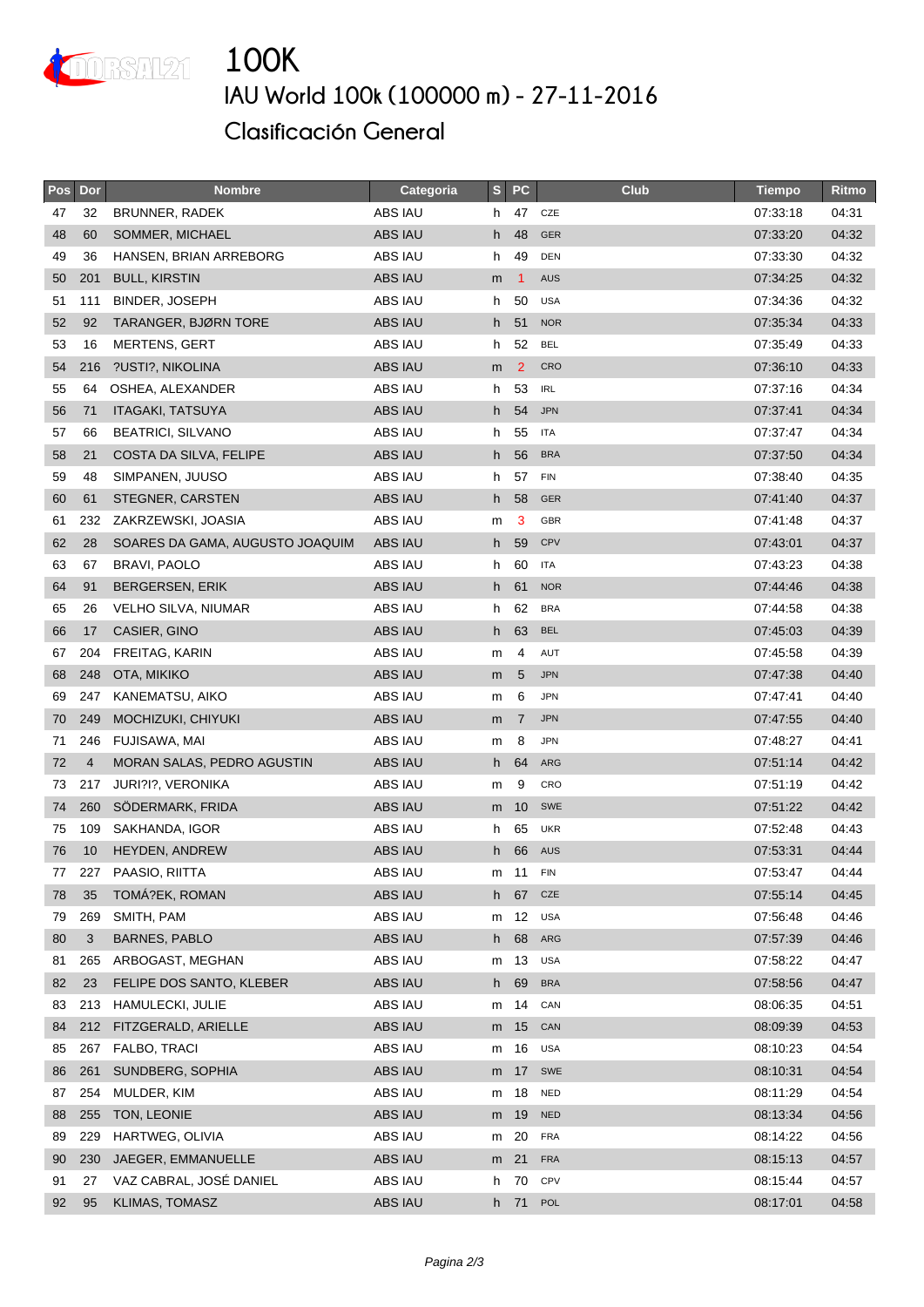

## **100K IAU World 100k (100000 m) - 27-11-2016 Clasificación General**

| Pos | Dor            | <b>Nombre</b>                   | Categoria      | S  | <b>PC</b>      | <b>Club</b> | <b>Tiempo</b> | Ritmo |
|-----|----------------|---------------------------------|----------------|----|----------------|-------------|---------------|-------|
| 47  | 32             | BRUNNER, RADEK                  | ABS IAU        | h. | 47             | CZE         | 07:33:18      | 04:31 |
| 48  | 60             | SOMMER, MICHAEL                 | ABS IAU        | h  | 48             | <b>GER</b>  | 07:33:20      | 04:32 |
| 49  | 36             | HANSEN, BRIAN ARREBORG          | ABS IAU        | h  | 49             | <b>DEN</b>  | 07:33:30      | 04:32 |
| 50  | 201            | <b>BULL, KIRSTIN</b>            | ABS IAU        | m  | 1              | <b>AUS</b>  | 07:34:25      | 04:32 |
| 51  | 111            | BINDER, JOSEPH                  | ABS IAU        | h  | 50             | <b>USA</b>  | 07:34:36      | 04:32 |
| 52  | 92             | TARANGER, BJØRN TORE            | <b>ABS IAU</b> | h  | 51             | <b>NOR</b>  | 07:35:34      | 04:33 |
| 53  | 16             | <b>MERTENS, GERT</b>            | ABS IAU        | h. | 52             | <b>BEL</b>  | 07:35:49      | 04:33 |
| 54  | 216            | ?USTI?, NIKOLINA                | ABS IAU        | m  | $\overline{2}$ | CRO         | 07:36:10      | 04:33 |
| 55  | 64             | OSHEA, ALEXANDER                | ABS IAU        | h  | 53             | <b>IRL</b>  | 07:37:16      | 04:34 |
| 56  | 71             | <b>ITAGAKI, TATSUYA</b>         | <b>ABS IAU</b> | h  | 54             | <b>JPN</b>  | 07:37:41      | 04:34 |
| 57  | 66             | <b>BEATRICI, SILVANO</b>        | ABS IAU        | h  | 55             | <b>ITA</b>  | 07:37:47      | 04:34 |
| 58  | 21             | COSTA DA SILVA, FELIPE          | <b>ABS IAU</b> | h. | 56             | <b>BRA</b>  | 07:37:50      | 04:34 |
| 59  | 48             | SIMPANEN, JUUSO                 | ABS IAU        | h  | 57             | <b>FIN</b>  | 07:38:40      | 04:35 |
| 60  | 61             | STEGNER, CARSTEN                | <b>ABS IAU</b> | h  | 58             | <b>GER</b>  | 07:41:40      | 04:37 |
| 61  | 232            | ZAKRZEWSKI, JOASIA              | ABS IAU        | m  | 3              | <b>GBR</b>  | 07:41:48      | 04:37 |
| 62  | 28             | SOARES DA GAMA, AUGUSTO JOAQUIM | <b>ABS IAU</b> | h  | 59             | CPV         | 07:43:01      | 04:37 |
| 63  | 67             | <b>BRAVI, PAOLO</b>             | ABS IAU        | h  | 60             | <b>ITA</b>  | 07:43:23      | 04:38 |
| 64  | 91             | <b>BERGERSEN, ERIK</b>          | ABS IAU        | h. | 61             | <b>NOR</b>  | 07:44:46      | 04:38 |
| 65  | 26             | VELHO SILVA, NIUMAR             | ABS IAU        | h  | 62             | <b>BRA</b>  | 07:44:58      | 04:38 |
| 66  | 17             | CASIER, GINO                    | <b>ABS IAU</b> | h  | 63             | <b>BEL</b>  | 07:45:03      | 04:39 |
| 67  | 204            | FREITAG, KARIN                  | ABS IAU        | m  | 4              | AUT         | 07:45:58      | 04:39 |
| 68  | 248            | OTA, MIKIKO                     | <b>ABS IAU</b> | m  | 5              | <b>JPN</b>  | 07:47:38      | 04:40 |
| 69  | 247            | KANEMATSU, AIKO                 | ABS IAU        | m  | 6              | <b>JPN</b>  | 07:47:41      | 04:40 |
| 70  | 249            | MOCHIZUKI, CHIYUKI              | ABS IAU        | m  | $\overline{7}$ | <b>JPN</b>  | 07:47:55      | 04:40 |
| 71  | 246            | FUJISAWA, MAI                   | ABS IAU        | m  | 8              | <b>JPN</b>  | 07:48:27      | 04:41 |
| 72  | $\overline{4}$ | MORAN SALAS, PEDRO AGUSTIN      | <b>ABS IAU</b> | h. | 64             | ARG         | 07:51:14      | 04:42 |
| 73  | 217            | JURI?I?, VERONIKA               | ABS IAU        | m  | 9              | CRO         | 07:51:19      | 04:42 |
| 74  | 260            | SÖDERMARK, FRIDA                | <b>ABS IAU</b> | m  | 10             | SWE         | 07:51:22      | 04:42 |
| 75  | 109            | SAKHANDA, IGOR                  | ABS IAU        | h  | 65             | <b>UKR</b>  | 07:52:48      | 04:43 |
| 76  | 10             | <b>HEYDEN, ANDREW</b>           | <b>ABS IAU</b> | h  | 66             | <b>AUS</b>  | 07:53:31      | 04:44 |
| 77  | 227            | PAASIO, RIITTA                  | ABS IAU        | m  | 11             | <b>FIN</b>  | 07:53:47      | 04:44 |
| 78  | 35             | TOMÁ?EK, ROMAN                  | <b>ABS IAU</b> | h  | 67             | CZE         | 07:55:14      | 04:45 |
| 79  | 269            | SMITH, PAM                      | ABS IAU        | m  | 12             | <b>USA</b>  | 07:56:48      | 04:46 |
| 80  | 3              | <b>BARNES, PABLO</b>            | ABS IAU        | h. | 68             | ARG         | 07:57:39      | 04:46 |
| 81  | 265            | ARBOGAST, MEGHAN                | ABS IAU        | m  | 13             | <b>USA</b>  | 07:58:22      | 04:47 |
| 82  | 23             | FELIPE DOS SANTO, KLEBER        | ABS IAU        | h. | 69             | <b>BRA</b>  | 07:58:56      | 04:47 |
| 83  | 213            | HAMULECKI, JULIE                | ABS IAU        | m  | 14             | CAN         | 08:06:35      | 04:51 |
| 84  | 212            | FITZGERALD, ARIELLE             | ABS IAU        | m  | 15             | CAN         | 08:09:39      | 04:53 |
| 85  | 267            | FALBO, TRACI                    | ABS IAU        | m  | 16             | <b>USA</b>  | 08:10:23      | 04:54 |
| 86  | 261            | SUNDBERG, SOPHIA                | ABS IAU        | m  | 17             | SWE         | 08:10:31      | 04:54 |
| 87  | 254            | MULDER, KIM                     | ABS IAU        | m  | 18             | <b>NED</b>  | 08:11:29      | 04:54 |
| 88  | 255            | TON, LEONIE                     | ABS IAU        | m  | 19             | <b>NED</b>  | 08:13:34      | 04:56 |
| 89  | 229            | HARTWEG, OLIVIA                 | ABS IAU        | m  | 20             | <b>FRA</b>  | 08:14:22      | 04:56 |
| 90  | 230            | JAEGER, EMMANUELLE              | ABS IAU        | m  | 21             | <b>FRA</b>  | 08:15:13      | 04:57 |
| 91  | 27             | VAZ CABRAL, JOSÉ DANIEL         | ABS IAU        | h  | 70             | CPV         | 08:15:44      | 04:57 |
| 92  | 95             | KLIMAS, TOMASZ                  | ABS IAU        | h  | 71             | POL         | 08:17:01      | 04:58 |